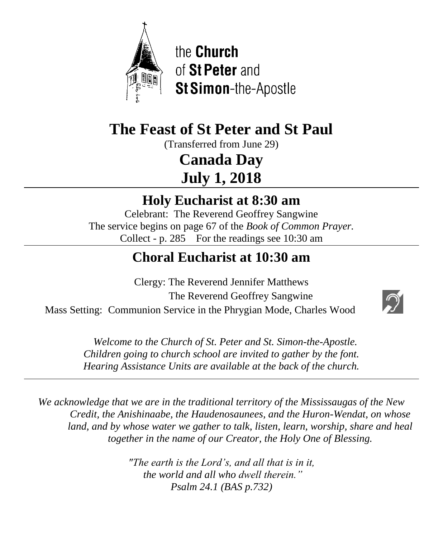

the Church of St Peter and St Simon-the-Apostle

# **The Feast of St Peter and St Paul**

(Transferred from June 29)

**Canada Day July 1, 2018**

## **Holy Eucharist at 8:30 am**

Celebrant: The Reverend Geoffrey Sangwine The service begins on page 67 of the *Book of Common Prayer.* Collect - p. 285 For the readings see 10:30 am

# **Choral Eucharist at 10:30 am**

Clergy: The Reverend Jennifer Matthews The Reverend Geoffrey Sangwine Mass Setting: Communion Service in the Phrygian Mode, Charles Wood



 *Welcome to the Church of St. Peter and St. Simon-the-Apostle. Children going to church school are invited to gather by the font. Hearing Assistance Units are available at the back of the church.*

*We acknowledge that we are in the traditional territory of the Mississaugas of the New Credit, the Anishinaabe, the Haudenosaunees, and the Huron-Wendat, on whose land, and by whose water we gather to talk, listen, learn, worship, share and heal together in the name of our Creator, the Holy One of Blessing.*

> *"The earth is the Lord's, and all that is in it, the world and all who dwell therein." Psalm 24.1 (BAS p.732)*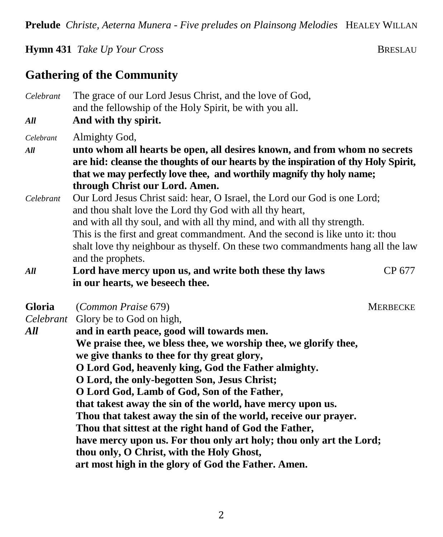**Prelude** *Christe, Aeterna Munera - Five preludes on Plainsong Melodies* HEALEY WILLAN

#### **Hymn 431** *Take Up Your Cross* BRESLAU

### **Gathering of the Community**

*Celebrant* The grace of our Lord Jesus Christ, and the love of God, and the fellowship of the Holy Spirit, be with you all. *All* **And with thy spirit.** *Celebrant* Almighty God, *All* **unto whom all hearts be open, all desires known, and from whom no secrets are hid: cleanse the thoughts of our hearts by the inspiration of thy Holy Spirit, that we may perfectly love thee, and worthily magnify thy holy name; through Christ our Lord. Amen.** *Celebrant* Our Lord Jesus Christ said: hear, O Israel, the Lord our God is one Lord; and thou shalt love the Lord thy God with all thy heart, and with all thy soul, and with all thy mind, and with all thy strength. This is the first and great commandment. And the second is like unto it: thou shalt love thy neighbour as thyself. On these two commandments hang all the law and the prophets. *All* **Lord have mercy upon us, and write both these thy laws** CP 677 **in our hearts, we beseech thee. Gloria** (*Common Praise* 679) MERBECKE *Celebrant* Glory be to God on high, *All* **and in earth peace, good will towards men. We praise thee, we bless thee, we worship thee, we glorify thee, we give thanks to thee for thy great glory, O Lord God, heavenly king, God the Father almighty. O Lord, the only-begotten Son, Jesus Christ; O Lord God, Lamb of God, Son of the Father, that takest away the sin of the world, have mercy upon us. Thou that takest away the sin of the world, receive our prayer. Thou that sittest at the right hand of God the Father, have mercy upon us. For thou only art holy; thou only art the Lord; thou only, O Christ, with the Holy Ghost, art most high in the glory of God the Father. Amen.**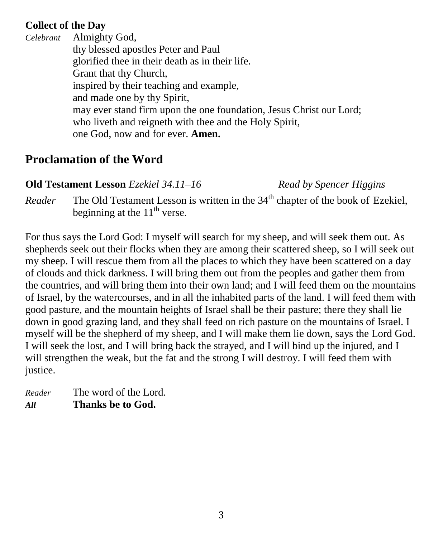#### **Collect of the Day**

*Celebrant* Almighty God, thy blessed apostles Peter and Paul glorified thee in their death as in their life. Grant that thy Church, inspired by their teaching and example, and made one by thy Spirit, may ever stand firm upon the one foundation, Jesus Christ our Lord; who liveth and reigneth with thee and the Holy Spirit, one God, now and for ever. **Amen.**

## **Proclamation of the Word**

#### **Old Testament Lesson** *Ezekiel 34.11–16**Read by Spencer Higgins*

*Reader* The Old Testament Lesson is written in the  $34<sup>th</sup>$  chapter of the book of Ezekiel, beginning at the  $11<sup>th</sup>$  verse.

For thus says the Lord God: I myself will search for my sheep, and will seek them out. As shepherds seek out their flocks when they are among their scattered sheep, so I will seek out my sheep. I will rescue them from all the places to which they have been scattered on a day of clouds and thick darkness. I will bring them out from the peoples and gather them from the countries, and will bring them into their own land; and I will feed them on the mountains of Israel, by the watercourses, and in all the inhabited parts of the land. I will feed them with good pasture, and the mountain heights of Israel shall be their pasture; there they shall lie down in good grazing land, and they shall feed on rich pasture on the mountains of Israel. I myself will be the shepherd of my sheep, and I will make them lie down, says the Lord God. I will seek the lost, and I will bring back the strayed, and I will bind up the injured, and I will strengthen the weak, but the fat and the strong I will destroy. I will feed them with justice.

| Reader | The word of the Lord. |
|--------|-----------------------|
| All    | Thanks be to God.     |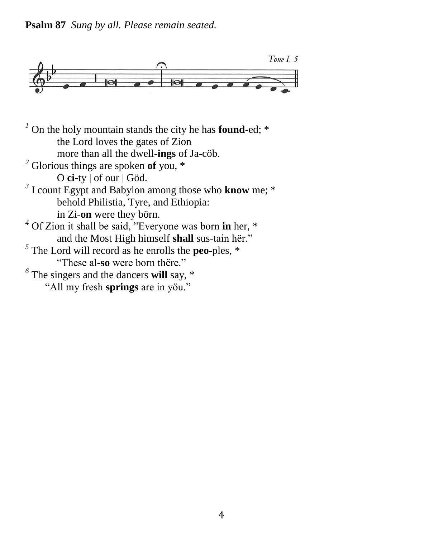**Psalm 87** *Sung by all. Please remain seated.*



<sup>1</sup> On the holy mountain stands the city he has **found**-ed; \* the Lord loves the gates of Zion more than all the dwell-**ings** of Ja-cöb. *<sup>2</sup>* Glorious things are spoken **of** you, \* O **ci**-ty | of our | Göd. *3* I count Egypt and Babylon among those who **know** me; \* behold Philistia, Tyre, and Ethiopia: in Zi-**on** were they börn. *<sup>4</sup>* Of Zion it shall be said, "Everyone was born **in** her, \* and the Most High himself **shall** sus-tain hër."  $<sup>5</sup>$  The Lord will record as he enrolls the **peo**-ples,  $*$ </sup> "These al-**so** were born thëre." *6* The singers and the dancers **will** say, \*

"All my fresh **springs** are in yöu."

4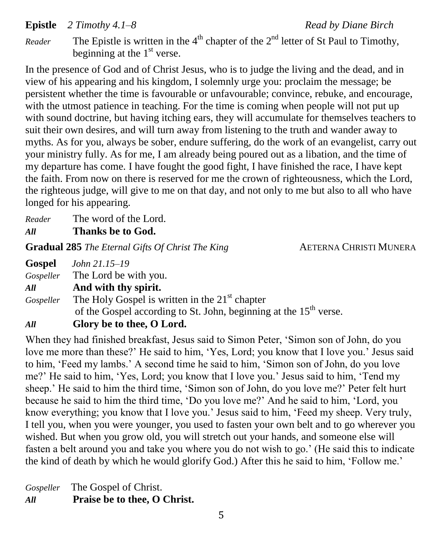#### **Epistle** 2 Timothy 4.1–8 Read by Diane Birch

*Reader* The Epistle is written in the  $4<sup>th</sup>$  chapter of the  $2<sup>nd</sup>$  letter of St Paul to Timothy, beginning at the  $1<sup>st</sup>$  verse.

In the presence of God and of Christ Jesus, who is to judge the living and the dead, and in view of his appearing and his kingdom, I solemnly urge you: proclaim the message; be persistent whether the time is favourable or unfavourable; convince, rebuke, and encourage, with the utmost patience in teaching. For the time is coming when people will not put up with sound doctrine, but having itching ears, they will accumulate for themselves teachers to suit their own desires, and will turn away from listening to the truth and wander away to myths. As for you, always be sober, endure suffering, do the work of an evangelist, carry out your ministry fully. As for me, I am already being poured out as a libation, and the time of my departure has come. I have fought the good fight, I have finished the race, I have kept the faith. From now on there is reserved for me the crown of righteousness, which the Lord, the righteous judge, will give to me on that day, and not only to me but also to all who have longed for his appearing.

| Reader | The word of the Lord. |
|--------|-----------------------|
| All    | Thanks be to God.     |

**Gradual 285** *The Eternal Gifts Of Christ The King* **AETERNA CHRISTI MUNERA** 

| Gospel    | John 21.15–19                                                                 |
|-----------|-------------------------------------------------------------------------------|
|           | <i>Gospeller</i> The Lord be with you.                                        |
| All       | And with thy spirit.                                                          |
| Gospeller | The Holy Gospel is written in the $21st$ chapter                              |
|           | of the Gospel according to St. John, beginning at the 15 <sup>th</sup> verse. |
| All       | Glory be to thee, O Lord.                                                     |

When they had finished breakfast, Jesus said to Simon Peter, 'Simon son of John, do you love me more than these?' He said to him, 'Yes, Lord; you know that I love you.' Jesus said to him, 'Feed my lambs.' A second time he said to him, 'Simon son of John, do you love me?' He said to him, 'Yes, Lord; you know that I love you.' Jesus said to him, 'Tend my sheep.' He said to him the third time, 'Simon son of John, do you love me?' Peter felt hurt because he said to him the third time, 'Do you love me?' And he said to him, 'Lord, you know everything; you know that I love you.' Jesus said to him, 'Feed my sheep. Very truly, I tell you, when you were younger, you used to fasten your own belt and to go wherever you wished. But when you grow old, you will stretch out your hands, and someone else will fasten a belt around you and take you where you do not wish to go.' (He said this to indicate the kind of death by which he would glorify God.) After this he said to him, 'Follow me.'

*Gospeller* The Gospel of Christ. *All* **Praise be to thee, O Christ.**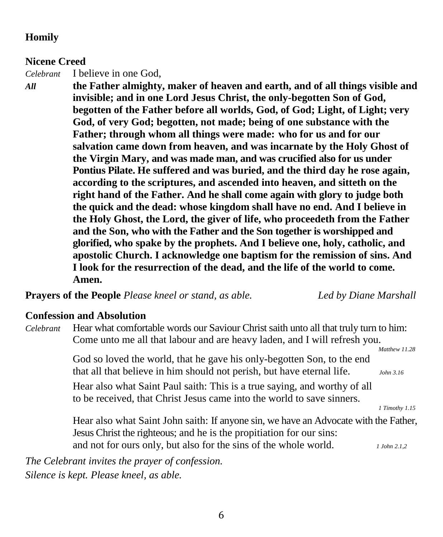#### **Homily**

#### **Nicene Creed**

*Celebrant* I believe in one God,

*All* **the Father almighty, maker of heaven and earth, and of all things visible and invisible; and in one Lord Jesus Christ, the only-begotten Son of God, begotten of the Father before all worlds, God, of God; Light, of Light; very God, of very God; begotten, not made; being of one substance with the Father; through whom all things were made: who for us and for our salvation came down from heaven, and was incarnate by the Holy Ghost of the Virgin Mary, and was made man, and was crucified also for us under Pontius Pilate. He suffered and was buried, and the third day he rose again, according to the scriptures, and ascended into heaven, and sitteth on the right hand of the Father. And he shall come again with glory to judge both the quick and the dead: whose kingdom shall have no end. And I believe in the Holy Ghost, the Lord, the giver of life, who proceedeth from the Father and the Son, who with the Father and the Son together is worshipped and glorified, who spake by the prophets. And I believe one, holy, catholic, and apostolic Church. I acknowledge one baptism for the remission of sins. And I look for the resurrection of the dead, and the life of the world to come. Amen.**

**Prayers of the People** *Please kneel or stand, as able. Led by Diane Marshall*

#### **Confession and Absolution**

*Celebrant* Hear what comfortable words our Saviour Christ saith unto all that truly turn to him: Come unto me all that labour and are heavy laden, and I will refresh you.  *Matthew 11.28* God so loved the world, that he gave his only-begotten Son, to the end that all that believe in him should not perish, but have eternal life. *John 3.16* Hear also what Saint Paul saith: This is a true saying, and worthy of all to be received, that Christ Jesus came into the world to save sinners. *1 Timothy 1.15* Hear also what Saint John saith: If anyone sin, we have an Advocate with the Father, Jesus Christ the righteous; and he is the propitiation for our sins: and not for ours only, but also for the sins of the whole world. *1 John 2.1,2 The Celebrant invites the prayer of confession.*

*Silence is kept. Please kneel, as able.*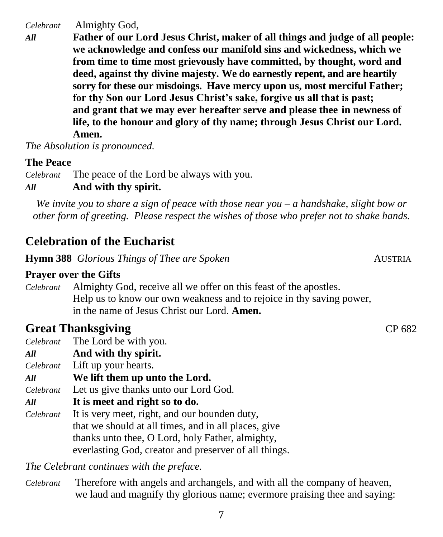*Celebrant* Almighty God,

*All* **Father of our Lord Jesus Christ, maker of all things and judge of all people: we acknowledge and confess our manifold sins and wickedness, which we from time to time most grievously have committed, by thought, word and deed, against thy divine majesty. We do earnestly repent, and are heartily sorry for these our misdoings. Have mercy upon us, most merciful Father; for thy Son our Lord Jesus Christ's sake, forgive us all that is past; and grant that we may ever hereafter serve and please thee in newness of life, to the honour and glory of thy name; through Jesus Christ our Lord. Amen.**

*The Absolution is pronounced.*

#### **The Peace**

*Celebrant* The peace of the Lord be always with you. *All* **And with thy spirit.**

*We invite you to share a sign of peace with those near you – a handshake, slight bow or other form of greeting. Please respect the wishes of those who prefer not to shake hands.*

### **Celebration of the Eucharist**

**Hymn 388** *Glorious Things of Thee are Spoken* **AUSTRIA AUSTRIA** 

#### **Prayer over the Gifts**

*Celebrant* Almighty God, receive all we offer on this feast of the apostles. Help us to know our own weakness and to rejoice in thy saving power, in the name of Jesus Christ our Lord. **Amen.**

## **Great Thanksgiving CP 682**

*Celebrant* The Lord be with you.

- *All* **And with thy spirit.**
- *Celebrant* Lift up your hearts.
- *All* **We lift them up unto the Lord.**

*Celebrant* Let us give thanks unto our Lord God.

- *All* **It is meet and right so to do.**
- *Celebrant* It is very meet, right, and our bounden duty, that we should at all times, and in all places, give thanks unto thee, O Lord, holy Father, almighty, everlasting God, creator and preserver of all things.

*The Celebrant continues with the preface.* 

*Celebrant* Therefore with angels and archangels, and with all the company of heaven, we laud and magnify thy glorious name; evermore praising thee and saying: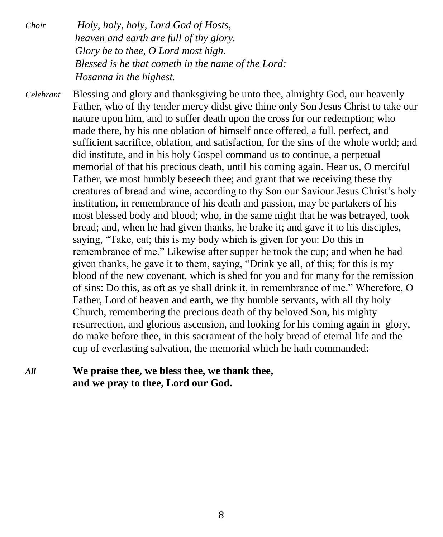*Choir Holy, holy, holy, Lord God of Hosts, heaven and earth are full of thy glory. Glory be to thee, O Lord most high. Blessed is he that cometh in the name of the Lord: Hosanna in the highest.*

*Celebrant* Blessing and glory and thanksgiving be unto thee, almighty God, our heavenly Father, who of thy tender mercy didst give thine only Son Jesus Christ to take our nature upon him, and to suffer death upon the cross for our redemption; who made there, by his one oblation of himself once offered, a full, perfect, and sufficient sacrifice, oblation, and satisfaction, for the sins of the whole world; and did institute, and in his holy Gospel command us to continue, a perpetual memorial of that his precious death, until his coming again. Hear us, O merciful Father, we most humbly beseech thee; and grant that we receiving these thy creatures of bread and wine, according to thy Son our Saviour Jesus Christ's holy institution, in remembrance of his death and passion, may be partakers of his most blessed body and blood; who, in the same night that he was betrayed, took bread; and, when he had given thanks, he brake it; and gave it to his disciples, saying, "Take, eat; this is my body which is given for you: Do this in remembrance of me." Likewise after supper he took the cup; and when he had given thanks, he gave it to them, saying, "Drink ye all, of this; for this is my blood of the new covenant, which is shed for you and for many for the remission of sins: Do this, as oft as ye shall drink it, in remembrance of me." Wherefore, O Father, Lord of heaven and earth, we thy humble servants, with all thy holy Church, remembering the precious death of thy beloved Son, his mighty resurrection, and glorious ascension, and looking for his coming again in glory, do make before thee, in this sacrament of the holy bread of eternal life and the cup of everlasting salvation, the memorial which he hath commanded:

#### *All* **We praise thee, we bless thee, we thank thee, and we pray to thee, Lord our God.**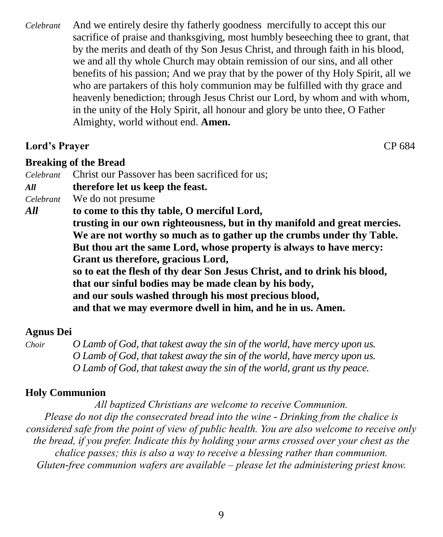*Celebrant* And we entirely desire thy fatherly goodness mercifully to accept this our sacrifice of praise and thanksgiving, most humbly beseeching thee to grant, that by the merits and death of thy Son Jesus Christ, and through faith in his blood, we and all thy whole Church may obtain remission of our sins, and all other benefits of his passion; And we pray that by the power of thy Holy Spirit, all we who are partakers of this holy communion may be fulfilled with thy grace and heavenly benediction; through Jesus Christ our Lord, by whom and with whom, in the unity of the Holy Spirit, all honour and glory be unto thee, O Father Almighty, world without end. **Amen.**

#### **Lord's Prayer** CP 684

#### **Breaking of the Bread**

*Celebrant* Christ our Passover has been sacrificed for us; *All* **therefore let us keep the feast.** *Celebrant* We do not presume *All* **to come to this thy table, O merciful Lord, trusting in our own righteousness, but in thy manifold and great mercies. We are not worthy so much as to gather up the crumbs under thy Table. But thou art the same Lord, whose property is always to have mercy: Grant us therefore, gracious Lord, so to eat the flesh of thy dear Son Jesus Christ, and to drink his blood, that our sinful bodies may be made clean by his body, and our souls washed through his most precious blood, and that we may evermore dwell in him, and he in us. Amen.**

#### **Agnus Dei**

*Choir O Lamb of God, that takest away the sin of the world, have mercy upon us. O Lamb of God, that takest away the sin of the world, have mercy upon us. O Lamb of God, that takest away the sin of the world, grant us thy peace.*

#### **Holy Communion**

*All baptized Christians are welcome to receive Communion. Please do not dip the consecrated bread into the wine - Drinking from the chalice is considered safe from the point of view of public health. You are also welcome to receive only the bread, if you prefer. Indicate this by holding your arms crossed over your chest as the chalice passes; this is also a way to receive a blessing rather than communion. Gluten-free communion wafers are available – please let the administering priest know.*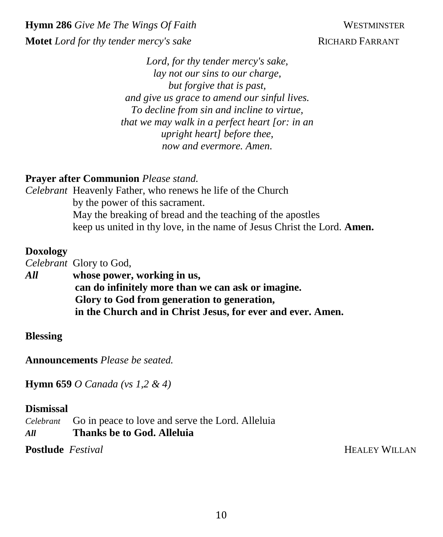**Hymn 286** *Give Me The Wings Of Faith* WESTMINSTER **Motet** *Lord for thy tender mercy's sake* **RICHARD FARRANT** 

*Lord, for thy tender mercy's sake, lay not our sins to our charge, but forgive that is past, and give us grace to amend our sinful lives. To decline from sin and incline to virtue, that we may walk in a perfect heart [or: in an upright heart] before thee, now and evermore. Amen.*

#### **Prayer after Communion** *Please stand.*

*Celebrant* Heavenly Father, who renews he life of the Church by the power of this sacrament. May the breaking of bread and the teaching of the apostles keep us united in thy love, in the name of Jesus Christ the Lord. **Amen.**

#### **Doxology**

*Celebrant* Glory to God, *All* **whose power, working in us, can do infinitely more than we can ask or imagine. Glory to God from generation to generation, in the Church and in Christ Jesus, for ever and ever. Amen.**

#### **Blessing**

**Announcements** *Please be seated.*

**Hymn 659** *O Canada (vs 1,2 & 4)*

#### **Dismissal**

*Celebrant* Go in peace to love and serve the Lord. Alleluia *All* **Thanks be to God. Alleluia**

**Postlude** *Festival* **HEALEY WILLAN**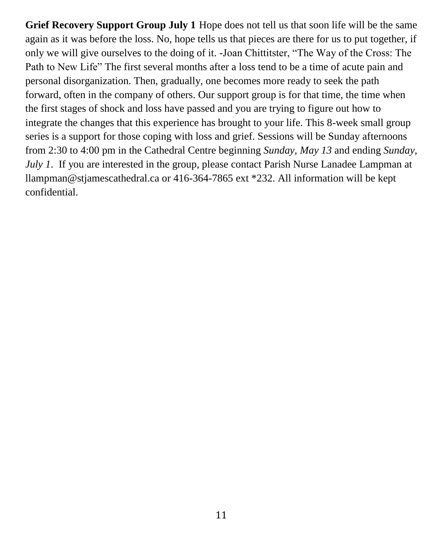**Grief Recovery Support Group July 1** Hope does not tell us that soon life will be the same again as it was before the loss. No, hope tells us that pieces are there for us to put together, if only we will give ourselves to the doing of it. -Joan Chittitster, "The Way of the Cross: The Path to New Life" The first several months after a loss tend to be a time of acute pain and personal disorganization. Then, gradually, one becomes more ready to seek the path forward, often in the company of others. Our support group is for that time, the time when the first stages of shock and loss have passed and you are trying to figure out how to integrate the changes that this experience has brought to your life. This 8-week small group series is a support for those coping with loss and grief. Sessions will be Sunday afternoons from 2:30 to 4:00 pm in the Cathedral Centre beginning *Sunday, May 13* and ending *Sunday, July 1*. If you are interested in the group, please contact Parish Nurse Lanadee Lampman at llampman@stjamescathedral.ca or 416-364-7865 ext \*232. All information will be kept confidential.